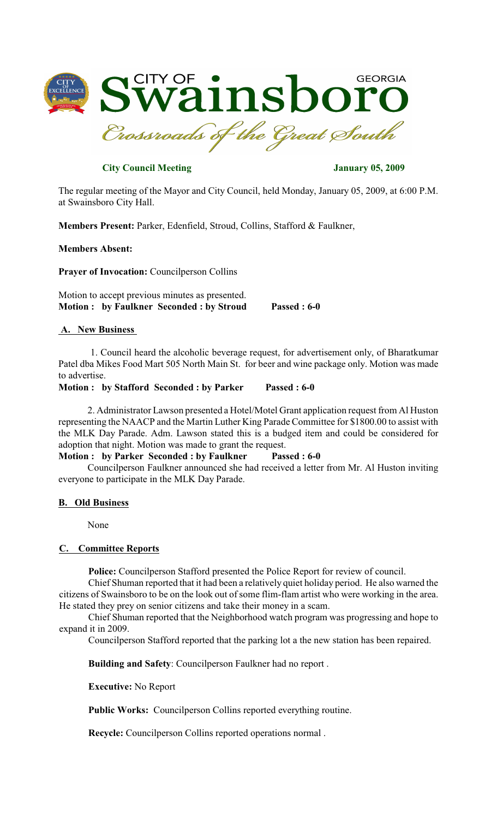

# **City Council Meeting** *City Council Meeting*

The regular meeting of the Mayor and City Council, held Monday, January 05, 2009, at 6:00 P.M. at Swainsboro City Hall.

**Members Present:** Parker, Edenfield, Stroud, Collins, Stafford & Faulkner,

## **Members Absent:**

**Prayer of Invocation:** Councilperson Collins

Motion to accept previous minutes as presented. **Motion : by Faulkner Seconded : by Stroud Passed : 6-0**

#### **A. New Business**

1. Council heard the alcoholic beverage request, for advertisement only, of Bharatkumar Patel dba Mikes Food Mart 505 North Main St. for beer and wine package only. Motion was made to advertise.

**Motion : by Stafford Seconded : by Parker Passed : 6-0**

2. Administrator Lawson presented a Hotel/Motel Grant application request from Al Huston representing the NAACP and the Martin Luther King Parade Committee for \$1800.00 to assist with the MLK Day Parade. Adm. Lawson stated this is a budged item and could be considered for adoption that night. Motion was made to grant the request.

#### **Motion : by Parker Seconded : by Faulkner Passed : 6-0**

Councilperson Faulkner announced she had received a letter from Mr. Al Huston inviting everyone to participate in the MLK Day Parade.

#### **B. Old Business**

None

### **C. Committee Reports**

**Police:** Councilperson Stafford presented the Police Report for review of council.

Chief Shuman reported that it had been a relatively quiet holiday period. He also warned the citizens of Swainsboro to be on the look out of some flim-flam artist who were working in the area. He stated they prey on senior citizens and take their money in a scam.

Chief Shuman reported that the Neighborhood watch program was progressing and hope to expand it in 2009.

Councilperson Stafford reported that the parking lot a the new station has been repaired.

**Building and Safety**: Councilperson Faulkner had no report .

**Executive:** No Report

**Public Works:** Councilperson Collins reported everything routine.

**Recycle:** Councilperson Collins reported operations normal .